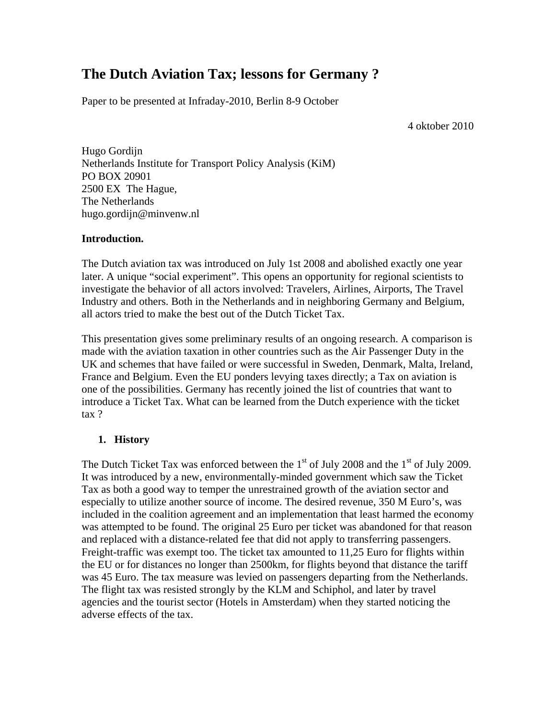# **The Dutch Aviation Tax; lessons for Germany ?**

Paper to be presented at Infraday-2010, Berlin 8-9 October

4 oktober 2010

Hugo Gordijn Netherlands Institute for Transport Policy Analysis (KiM) PO BOX 20901 2500 EX The Hague, The Netherlands hugo.gordijn@minvenw.nl

# **Introduction.**

The Dutch aviation tax was introduced on July 1st 2008 and abolished exactly one year later. A unique "social experiment". This opens an opportunity for regional scientists to investigate the behavior of all actors involved: Travelers, Airlines, Airports, The Travel Industry and others. Both in the Netherlands and in neighboring Germany and Belgium, all actors tried to make the best out of the Dutch Ticket Tax.

This presentation gives some preliminary results of an ongoing research. A comparison is made with the aviation taxation in other countries such as the Air Passenger Duty in the UK and schemes that have failed or were successful in Sweden, Denmark, Malta, Ireland, France and Belgium. Even the EU ponders levying taxes directly; a Tax on aviation is one of the possibilities. Germany has recently joined the list of countries that want to introduce a Ticket Tax. What can be learned from the Dutch experience with the ticket tax ?

# **1. History**

The Dutch Ticket Tax was enforced between the  $1<sup>st</sup>$  of July 2008 and the  $1<sup>st</sup>$  of July 2009. It was introduced by a new, environmentally-minded government which saw the Ticket Tax as both a good way to temper the unrestrained growth of the aviation sector and especially to utilize another source of income. The desired revenue, 350 M Euro's, was included in the coalition agreement and an implementation that least harmed the economy was attempted to be found. The original 25 Euro per ticket was abandoned for that reason and replaced with a distance-related fee that did not apply to transferring passengers. Freight-traffic was exempt too. The ticket tax amounted to 11,25 Euro for flights within the EU or for distances no longer than 2500km, for flights beyond that distance the tariff was 45 Euro. The tax measure was levied on passengers departing from the Netherlands. The flight tax was resisted strongly by the KLM and Schiphol, and later by travel agencies and the tourist sector (Hotels in Amsterdam) when they started noticing the adverse effects of the tax.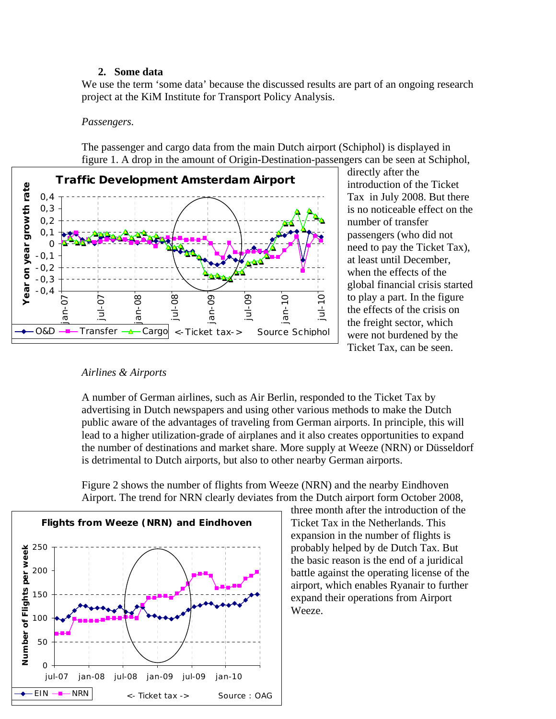### **2. Some data**

We use the term 'some data' because the discussed results are part of an ongoing research project at the KiM Institute for Transport Policy Analysis.

#### *Passengers.*

The passenger and cargo data from the main Dutch airport (Schiphol) is displayed in figure 1. A drop in the amount of Origin-Destination-passengers can be seen at Schiphol,



directly after the introduction of the Ticket Tax in July 2008. But there is no noticeable effect on the number of transfer passengers (who did not need to pay the Ticket Tax), at least until December, when the effects of the global financial crisis started to play a part. In the figure the effects of the crisis on the freight sector, which were not burdened by the Ticket Tax, can be seen.

#### *Airlines & Airports*

A number of German airlines, such as Air Berlin, responded to the Ticket Tax by advertising in Dutch newspapers and using other various methods to make the Dutch public aware of the advantages of traveling from German airports. In principle, this will lead to a higher utilization-grade of airplanes and it also creates opportunities to expand the number of destinations and market share. More supply at Weeze (NRN) or Düsseldorf is detrimental to Dutch airports, but also to other nearby German airports.

Figure 2 shows the number of flights from Weeze (NRN) and the nearby Eindhoven Airport. The trend for NRN clearly deviates from the Dutch airport form October 2008,



three month after the introduction of the Ticket Tax in the Netherlands. This expansion in the number of flights is probably helped by de Dutch Tax. But the basic reason is the end of a juridical battle against the operating license of the airport, which enables Ryanair to further expand their operations from Airport Weeze.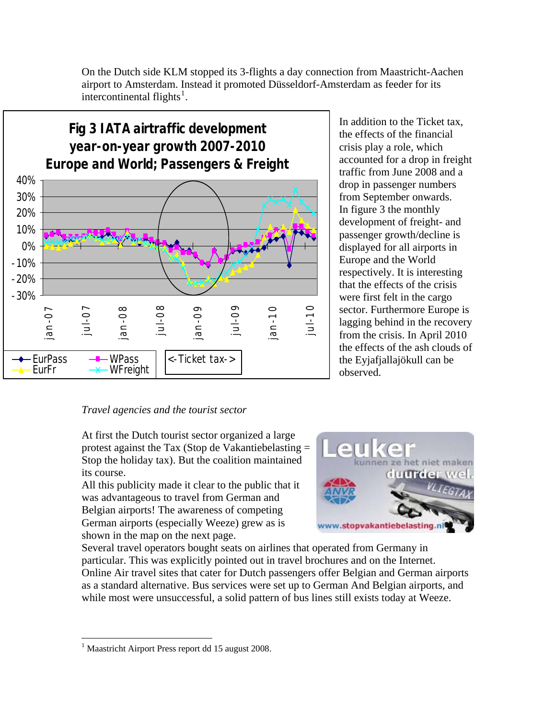

On the Dutch side KLM stopped its 3-flights a day connection from Maastricht-Aachen airport to Amsterdam. Instead it promoted Düsseldorf-Amsterdam as feeder for its intercontinental flights $<sup>1</sup>$  $<sup>1</sup>$  $<sup>1</sup>$ .</sup>

### *Travel agencies and the tourist sector*

At first the Dutch tourist sector organized a large protest against the Tax (Stop de Vakantiebelasting = Stop the holiday tax). But the coalition maintained its course.

All this publicity made it clear to the public that it was advantageous to travel from German and Belgian airports! The awareness of competing German airports (especially Weeze) grew as is shown in the map on the next page.



observed.

In addition to the Ticket tax, the effects of the financial crisis play a role, which

accounted for a drop in freight traffic from June 2008 and a drop in passenger numbers from September onwards. In figure 3 the monthly development of freight- and passenger growth/decline is displayed for all airports in Europe and the World

respectively. It is interesting that the effects of the crisis were first felt in the cargo sector. Furthermore Europe is lagging behind in the recovery from the crisis. In April 2010 the effects of the ash clouds of the Eyjafjallajökull can be

Several travel operators bought seats on airlines that operated from Germany in particular. This was explicitly pointed out in travel brochures and on the Internet. Online Air travel sites that cater for Dutch passengers offer Belgian and German airports as a standard alternative. Bus services were set up to German And Belgian airports, and while most were unsuccessful, a solid pattern of bus lines still exists today at Weeze.

 $\overline{a}$ 

<span id="page-2-0"></span><sup>&</sup>lt;sup>1</sup> Maastricht Airport Press report dd 15 august 2008.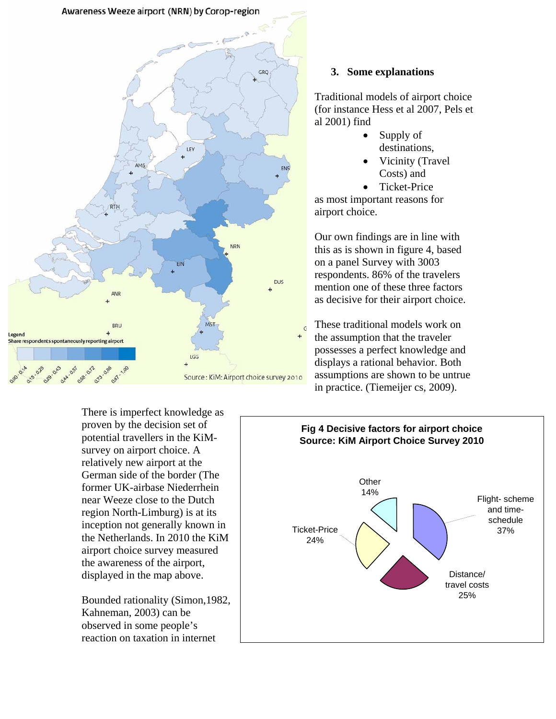



## **3. Some explanations**

Traditional models of airport choice (for instance Hess et al 2007, Pels et al 2001) find

- Supply of destinations,
- Vicinity (Travel Costs) and
- Ticket-Price

as most important reasons for airport choice.

Our own findings are in line with this as is shown in figure 4, based on a panel Survey with 3003 respondents. 86% of the travelers mention one of these three factors as decisive for their airport choice.

These traditional models work on the assumption that the traveler possesses a perfect knowledge and displays a rational behavior. Both assumptions are shown to be untrue in practice. (Tiemeijer cs, 2009).

There is imperfect knowledge as proven by the decision set of potential travellers in the KiMsurvey on airport choice. A relatively new airport at the German side of the border (The former UK-airbase Niederrhein near Weeze close to the Dutch region North-Limburg) is at its inception not generally known in the Netherlands. In 2010 the KiM airport choice survey measured the awareness of the airport, displayed in the map above.

Kahneman, 2003) can be observed in some people's reaction on taxation in internet

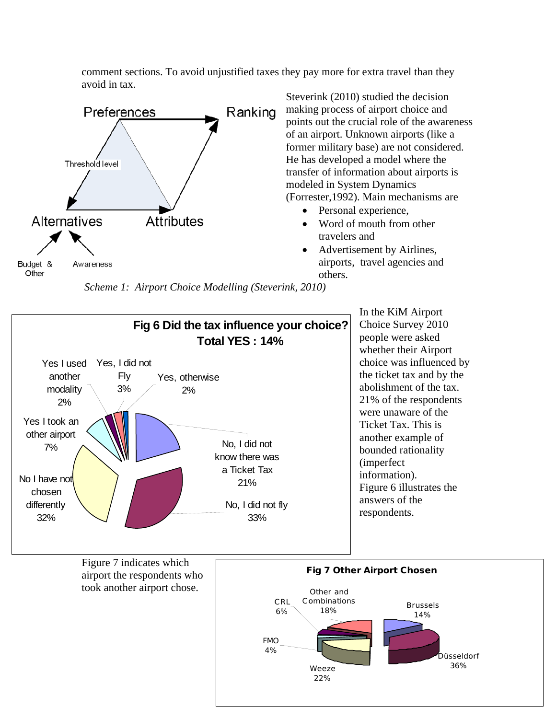comment sections. To avoid unjustified taxes they pay more for extra travel than they avoid in tax.



Steverink (2010) studied the decision making process of airport choice and points out the crucial role of the awareness of an airport. Unknown airports (like a former military base) are not considered. He has developed a model where the transfer of information about airports is modeled in System Dynamics (Forrester,1992). Main mechanisms are

- Personal experience,
- Word of mouth from other travelers and
- Advertisement by Airlines, airports, travel agencies and others.

Düsseldorf

36%

 *Scheme 1: Airport Choice Modelling (Steverink, 2010)* 

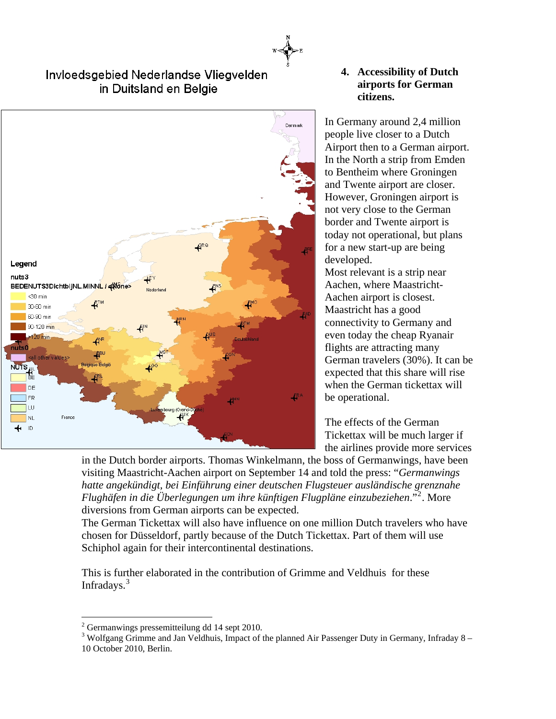# Invloedsgebied Nederlandse Vliegvelden in Duitsland en Belgie



## **4. Accessibility of Dutch airports for German citizens.**

In Germany around 2,4 million people live closer to a Dutch Airport then to a German airport. In the North a strip from Emden to Bentheim where Groningen and Twente airport are closer. However, Groningen airport is not very close to the German border and Twente airport is today not operational, but plans for a new start-up are being developed.

Most relevant is a strip near Aachen, where Maastricht-Aachen airport is closest. Maastricht has a good connectivity to Germany and even today the cheap Ryanair flights are attracting many German travelers (30%). It can be expected that this share will rise when the German tickettax will be operational.

The effects of the German Tickettax will be much larger if the airlines provide more services

in the Dutch border airports. Thomas Winkelmann, the boss of Germanwings, have been visiting Maastricht-Aachen airport on September 14 and told the press: "*Germanwings hatte angekündigt, bei Einführung einer deutschen Flugsteuer ausländische grenznahe Flughäfen in die Überlegungen um ihre künftigen Flugpläne einzubeziehen*."[2](#page-5-0) . More diversions from German airports can be expected.

The German Tickettax will also have influence on one million Dutch travelers who have chosen for Düsseldorf, partly because of the Dutch Tickettax. Part of them will use Schiphol again for their intercontinental destinations.

This is further elaborated in the contribution of Grimme and Veldhuis for these Infradays.<sup>[3](#page-5-1)</sup>

 $\overline{a}$ 

 $2^2$  Germanwings pressemitteilung dd 14 sept 2010.

<span id="page-5-1"></span><span id="page-5-0"></span> $3$  Wolfgang Grimme and Jan Veldhuis, Impact of the planned Air Passenger Duty in Germany, Infraday 8 – 10 October 2010, Berlin.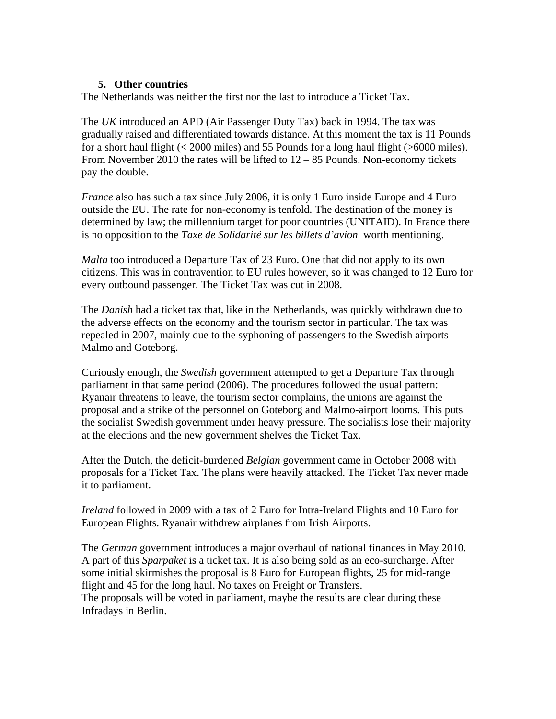# **5. Other countries**

The Netherlands was neither the first nor the last to introduce a Ticket Tax.

The *UK* introduced an APD (Air Passenger Duty Tax) back in 1994. The tax was gradually raised and differentiated towards distance. At this moment the tax is 11 Pounds for a short haul flight (< 2000 miles) and 55 Pounds for a long haul flight (>6000 miles). From November 2010 the rates will be lifted to 12 – 85 Pounds. Non-economy tickets pay the double.

*France* also has such a tax since July 2006, it is only 1 Euro inside Europe and 4 Euro outside the EU. The rate for non-economy is tenfold. The destination of the money is determined by law; the millennium target for poor countries (UNITAID). In France there is no opposition to the *Taxe de Solidarité sur les billets d'avion* worth mentioning.

*Malta* too introduced a Departure Tax of 23 Euro. One that did not apply to its own citizens. This was in contravention to EU rules however, so it was changed to 12 Euro for every outbound passenger. The Ticket Tax was cut in 2008.

The *Danish* had a ticket tax that, like in the Netherlands, was quickly withdrawn due to the adverse effects on the economy and the tourism sector in particular. The tax was repealed in 2007, mainly due to the syphoning of passengers to the Swedish airports Malmo and Goteborg.

Curiously enough, the *Swedish* government attempted to get a Departure Tax through parliament in that same period (2006). The procedures followed the usual pattern: Ryanair threatens to leave, the tourism sector complains, the unions are against the proposal and a strike of the personnel on Goteborg and Malmo-airport looms. This puts the socialist Swedish government under heavy pressure. The socialists lose their majority at the elections and the new government shelves the Ticket Tax.

After the Dutch, the deficit-burdened *Belgian* government came in October 2008 with proposals for a Ticket Tax. The plans were heavily attacked. The Ticket Tax never made it to parliament.

*Ireland* followed in 2009 with a tax of 2 Euro for Intra-Ireland Flights and 10 Euro for European Flights. Ryanair withdrew airplanes from Irish Airports.

The *German* government introduces a major overhaul of national finances in May 2010. A part of this *Sparpaket* is a ticket tax. It is also being sold as an eco-surcharge. After some initial skirmishes the proposal is 8 Euro for European flights, 25 for mid-range flight and 45 for the long haul. No taxes on Freight or Transfers. The proposals will be voted in parliament, maybe the results are clear during these Infradays in Berlin.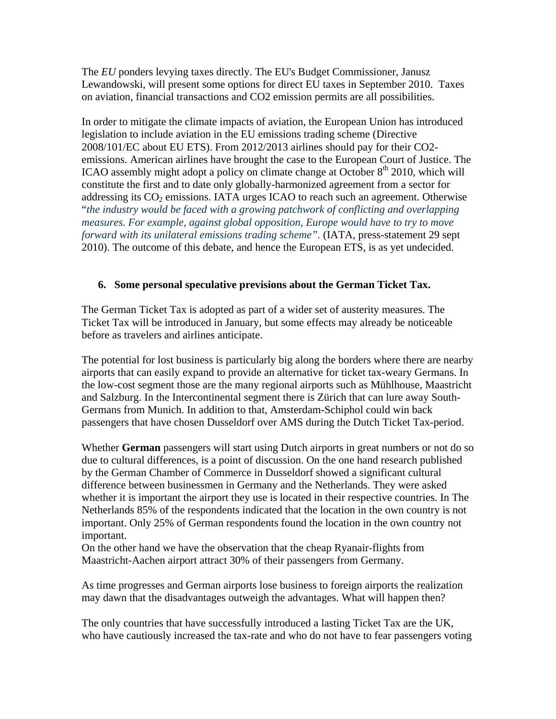The *EU* ponders levying taxes directly. The EU's Budget Commissioner, Janusz Lewandowski, will present some options for direct EU taxes in September 2010. Taxes on aviation, financial transactions and CO2 emission permits are all possibilities.

In order to mitigate the climate impacts of aviation, the European Union has introduced legislation to include aviation in the EU emissions trading scheme (Directive 2008/101/EC about EU ETS). From 2012/2013 airlines should pay for their CO2 emissions. American airlines have brought the case to the European Court of Justice. The ICAO assembly might adopt a policy on climate change at October  $8<sup>th</sup>$  2010, which will constitute the first and to date only globally-harmonized agreement from a sector for addressing its  $CO<sub>2</sub>$  emissions. IATA urges ICAO to reach such an agreement. Otherwise "*the industry would be faced with a growing patchwork of conflicting and overlapping measures. For example, against global opposition, Europe would have to try to move forward with its unilateral emissions trading scheme".* (IATA, press-statement 29 sept 2010). The outcome of this debate, and hence the European ETS, is as yet undecided.

# **6. Some personal speculative previsions about the German Ticket Tax.**

The German Ticket Tax is adopted as part of a wider set of austerity measures. The Ticket Tax will be introduced in January, but some effects may already be noticeable before as travelers and airlines anticipate.

The potential for lost business is particularly big along the borders where there are nearby airports that can easily expand to provide an alternative for ticket tax-weary Germans. In the low-cost segment those are the many regional airports such as Mühlhouse, Maastricht and Salzburg. In the Intercontinental segment there is Zürich that can lure away South-Germans from Munich. In addition to that, Amsterdam-Schiphol could win back passengers that have chosen Dusseldorf over AMS during the Dutch Ticket Tax-period.

Whether **German** passengers will start using Dutch airports in great numbers or not do so due to cultural differences, is a point of discussion. On the one hand research published by the German Chamber of Commerce in Dusseldorf showed a significant cultural difference between businessmen in Germany and the Netherlands. They were asked whether it is important the airport they use is located in their respective countries. In The Netherlands 85% of the respondents indicated that the location in the own country is not important. Only 25% of German respondents found the location in the own country not important.

On the other hand we have the observation that the cheap Ryanair-flights from Maastricht-Aachen airport attract 30% of their passengers from Germany.

As time progresses and German airports lose business to foreign airports the realization may dawn that the disadvantages outweigh the advantages. What will happen then?

The only countries that have successfully introduced a lasting Ticket Tax are the UK, who have cautiously increased the tax-rate and who do not have to fear passengers voting